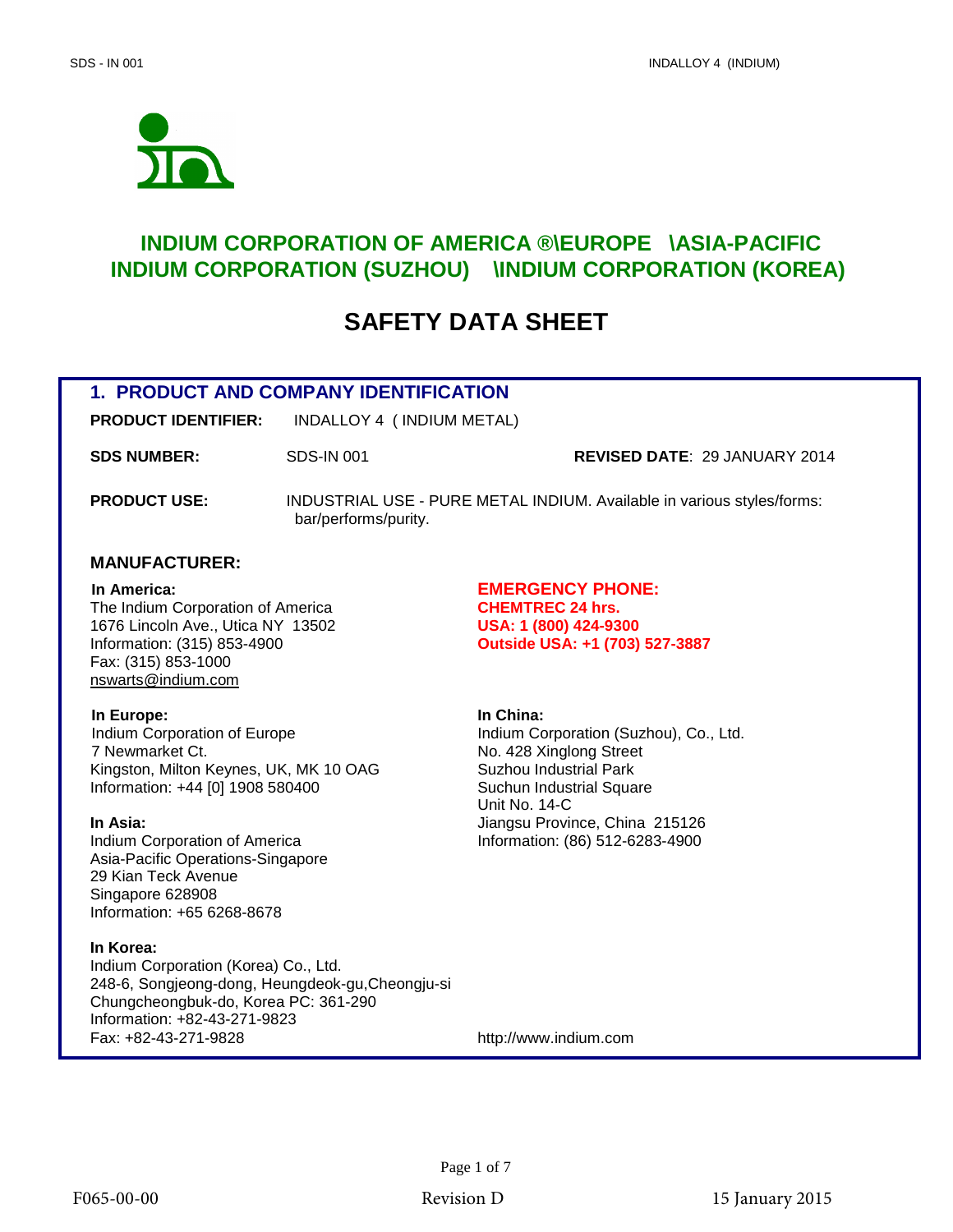

# **INDIUM CORPORATION OF AMERICA ®\EUROPE\ASIA-PACIFIC INDIUM CORPORATION (SUZHOU) ®\INDIUM CORPORATION (KOREA) ®**

# **SAFETY DATA SHEET**

# **1. PRODUCT AND COMPANY IDENTIFICATION**

**PRODUCT IDENTIFIER:** INDALLOY 4 ( INDIUM METAL)

**SDS NUMBER:** SDS-IN 001 **REVISED DATE**: 29 JANUARY 2014

**PRODUCT USE:** INDUSTRIAL USE - PURE METAL INDIUM. Available in various styles/forms: bar/performs/purity.

#### **MANUFACTURER:**

The Indium Corporation of America **CHEMTREC 24 hrs.** 1676 Lincoln Ave., Utica NY 13502 **USA: 1 (800) 424-9300** Information: (315) 853-4900 **Outside USA: +1 (703) 527-3887**  Fax: (315) 853-1000 nswarts@indium.com

# **In America: EMERGENCY PHONE:**

**In Europe: In China: In China: Indium Corporation of Europe Indium Corporation (Suzhou), Co., Ltd.** 7 Newmarket Ct.<br>
Kingston, Milton Keynes, UK, MK 10 OAG Suzhou Industrial Park Kingston, Milton Keynes, UK, MK 10 OAG Information: +44 [0] 1908 580400 Suchun Industrial Square

Indium Corporation of America Information: (86) 512-6283-4900 Asia-Pacific Operations-Singapore 29 Kian Teck Avenue Singapore 628908 Information: +65 6268-8678

#### **In Korea:**

Indium Corporation (Korea) Co., Ltd. 248-6, Songjeong-dong, Heungdeok-gu,Cheongju-si Chungcheongbuk-do, Korea PC: 361-290 Information: +82-43-271-9823<br>Fax: +82-43-271-9828

Unit No. 14-C **In Asia:** Jiangsu Province, China 215126

http://www.indium.com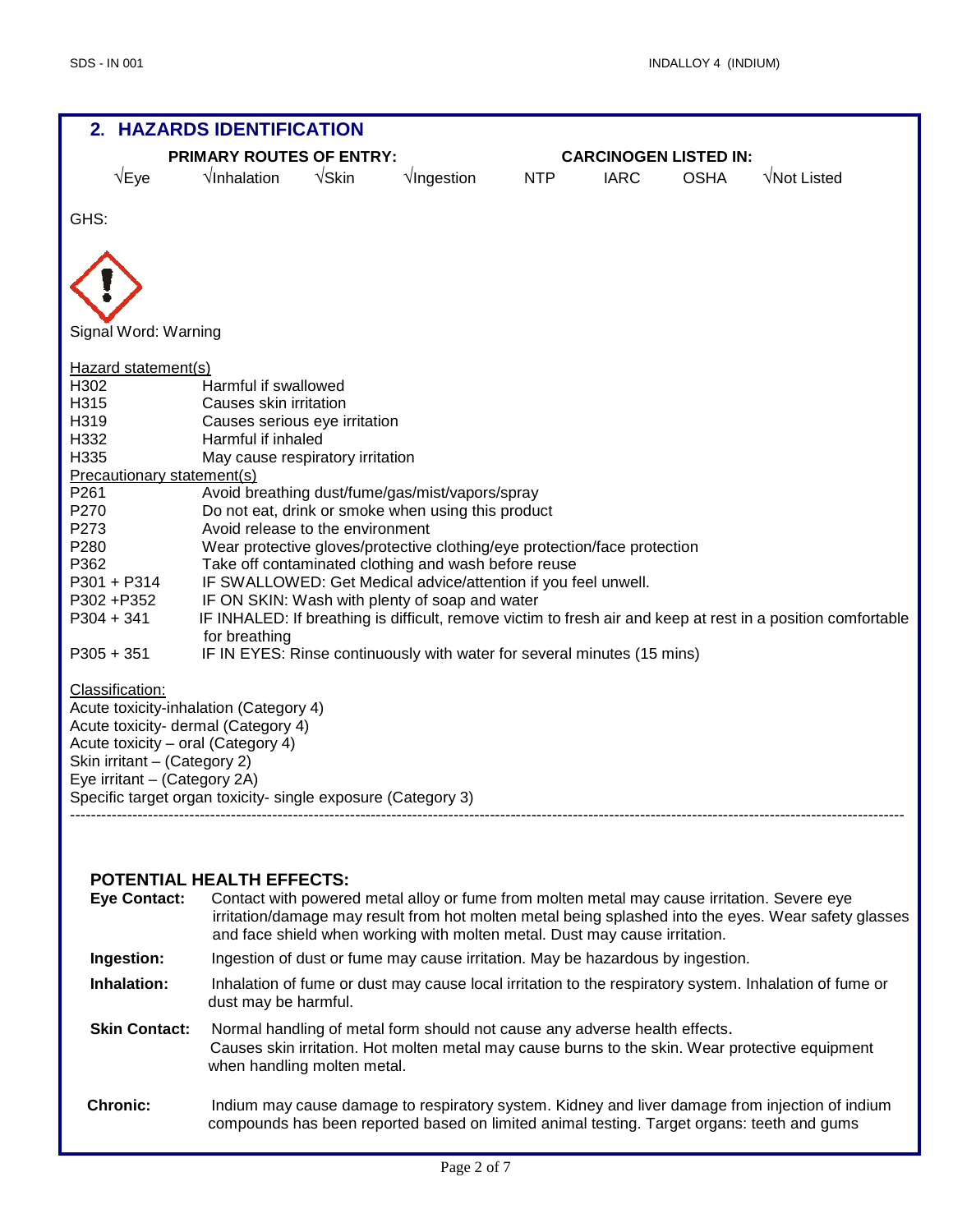

#### **POTENTIAL HEALTH EFFECTS:**

| <b>Eye Contact:</b>  | Contact with powered metal alloy or fume from molten metal may cause irritation. Severe eye<br>irritation/damage may result from hot molten metal being splashed into the eyes. Wear safety glasses<br>and face shield when working with molten metal. Dust may cause irritation. |
|----------------------|-----------------------------------------------------------------------------------------------------------------------------------------------------------------------------------------------------------------------------------------------------------------------------------|
| Ingestion:           | Ingestion of dust or fume may cause irritation. May be hazardous by ingestion.                                                                                                                                                                                                    |
| Inhalation:          | Inhalation of fume or dust may cause local irritation to the respiratory system. Inhalation of fume or<br>dust may be harmful.                                                                                                                                                    |
| <b>Skin Contact:</b> | Normal handling of metal form should not cause any adverse health effects.<br>Causes skin irritation. Hot molten metal may cause burns to the skin. Wear protective equipment<br>when handling molten metal.                                                                      |
| <b>Chronic:</b>      | Indium may cause damage to respiratory system. Kidney and liver damage from injection of indium<br>compounds has been reported based on limited animal testing. Target organs: teeth and gums                                                                                     |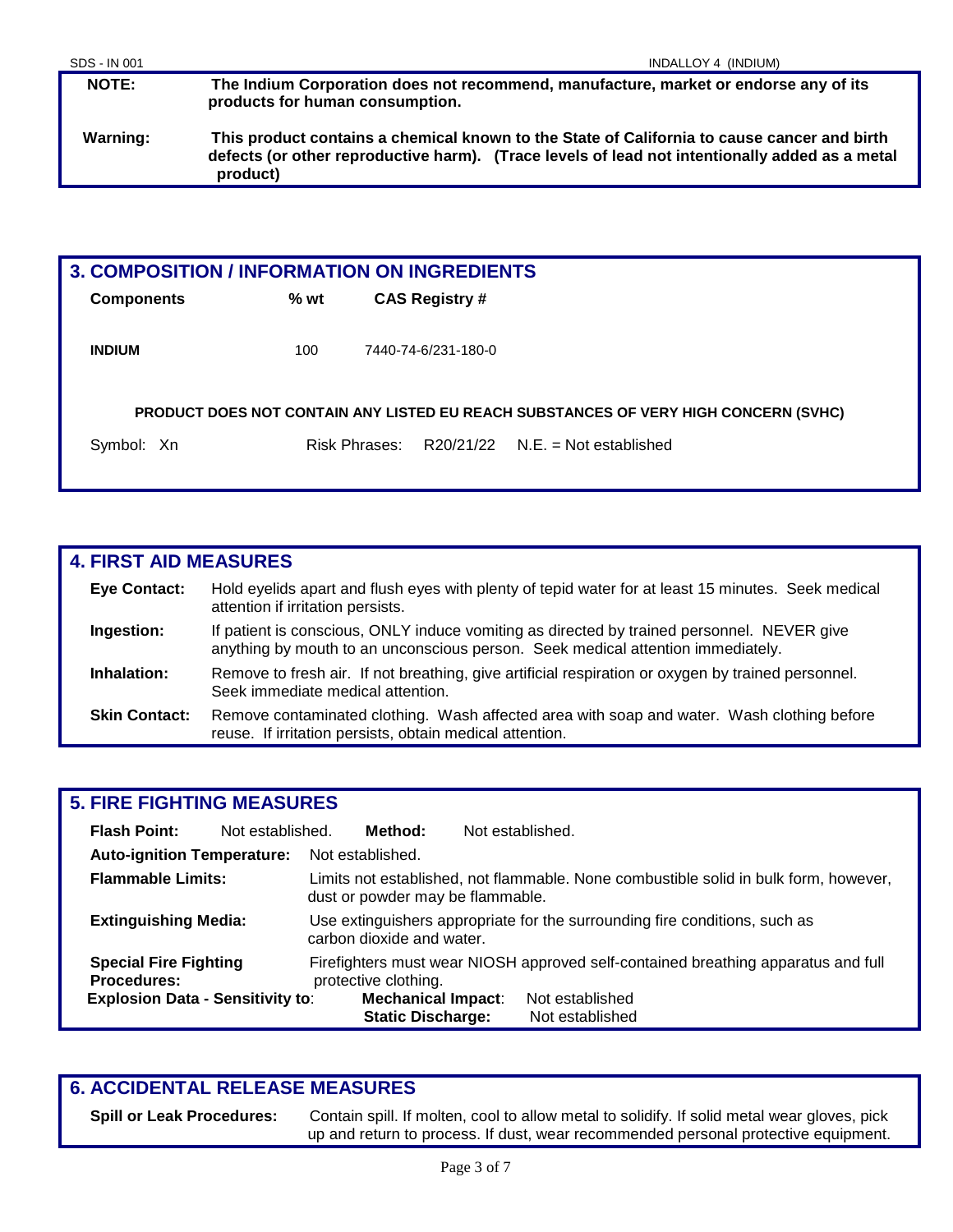**NOTE: The Indium Corporation does not recommend, manufacture, market or endorse any of its products for human consumption. Warning: This product contains a chemical known to the State of California to cause cancer and birth defects (or other reproductive harm). (Trace levels of lead not intentionally added as a metal product)**

| <b>3. COMPOSITION / INFORMATION ON INGREDIENTS</b> |        |                       |                                                                                     |
|----------------------------------------------------|--------|-----------------------|-------------------------------------------------------------------------------------|
| <b>Components</b>                                  | $%$ wt | <b>CAS Registry #</b> |                                                                                     |
| <b>INDIUM</b>                                      | 100    | 7440-74-6/231-180-0   |                                                                                     |
|                                                    |        |                       | PRODUCT DOES NOT CONTAIN ANY LISTED EU REACH SUBSTANCES OF VERY HIGH CONCERN (SVHC) |
| Symbol: Xn                                         |        | Risk Phrases:         | $R20/21/22$ N.E. = Not established                                                  |
|                                                    |        |                       |                                                                                     |

| <b>4. FIRST AID MEASURES</b> |                                                                                                                                                                               |  |  |
|------------------------------|-------------------------------------------------------------------------------------------------------------------------------------------------------------------------------|--|--|
| <b>Eye Contact:</b>          | Hold eyelids apart and flush eyes with plenty of tepid water for at least 15 minutes. Seek medical<br>attention if irritation persists.                                       |  |  |
| Ingestion:                   | If patient is conscious, ONLY induce vomiting as directed by trained personnel. NEVER give<br>anything by mouth to an unconscious person. Seek medical attention immediately. |  |  |
| Inhalation:                  | Remove to fresh air. If not breathing, give artificial respiration or oxygen by trained personnel.<br>Seek immediate medical attention.                                       |  |  |
| <b>Skin Contact:</b>         | Remove contaminated clothing. Wash affected area with soap and water. Wash clothing before<br>reuse. If irritation persists, obtain medical attention.                        |  |  |

# **5. FIRE FIGHTING MEASURES**

| <b>Flash Point:</b>                                                        | Not established. |                                                                                                         | Method:                                                                           | Not established. |                                                                                      |
|----------------------------------------------------------------------------|------------------|---------------------------------------------------------------------------------------------------------|-----------------------------------------------------------------------------------|------------------|--------------------------------------------------------------------------------------|
| <b>Auto-ignition Temperature:</b>                                          |                  |                                                                                                         | Not established.                                                                  |                  |                                                                                      |
| <b>Flammable Limits:</b>                                                   |                  |                                                                                                         | dust or powder may be flammable.                                                  |                  | Limits not established, not flammable. None combustible solid in bulk form, however, |
| <b>Extinguishing Media:</b>                                                |                  | Use extinguishers appropriate for the surrounding fire conditions, such as<br>carbon dioxide and water. |                                                                                   |                  |                                                                                      |
| <b>Special Fire Fighting</b><br>protective clothing.<br><b>Procedures:</b> |                  |                                                                                                         | Firefighters must wear NIOSH approved self-contained breathing apparatus and full |                  |                                                                                      |
| <b>Explosion Data - Sensitivity to:</b>                                    |                  |                                                                                                         | <b>Mechanical Impact:</b><br><b>Static Discharge:</b>                             |                  | Not established<br>Not established                                                   |

# **6. ACCIDENTAL RELEASE MEASURES**

**Spill or Leak Procedures:** Contain spill. If molten, cool to allow metal to solidify. If solid metal wear gloves, pick up and return to process. If dust, wear recommended personal protective equipment.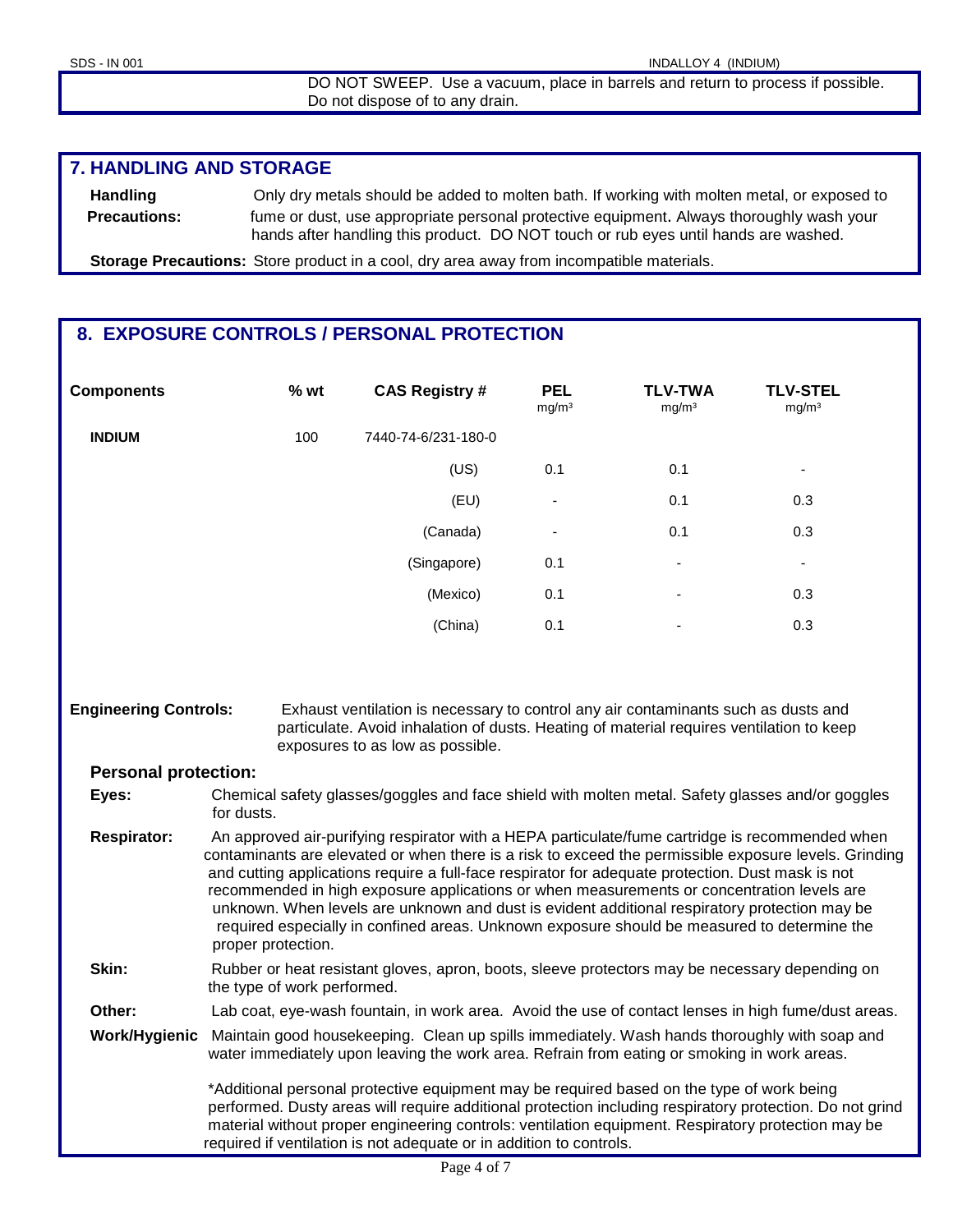DO NOT SWEEP. Use a vacuum, place in barrels and return to process if possible. Do not dispose of to any drain.

## **7. HANDLING AND STORAGE**

**Handling** Only dry metals should be added to molten bath. If working with molten metal, or exposed to **Precautions:** fume or dust, use appropriate personal protective equipment. Always thoroughly wash your hands after handling this product. DO NOT touch or rub eyes until hands are washed.

**Storage Precautions:** Store product in a cool, dry area away from incompatible materials.

# **8. EXPOSURE CONTROLS / PERSONAL PROTECTION**

| <b>Components</b>            | % wt                                                                                                                                                                                                                                                                                                                                                                                                                                                                                                                                                                                                                              | <b>CAS Registry #</b>                                                                                                                                                                                                                                                                                                                                                              | <b>PEL</b><br>mg/m <sup>3</sup> | <b>TLV-TWA</b><br>mg/m <sup>3</sup> | <b>TLV-STEL</b><br>mg/m <sup>3</sup> |
|------------------------------|-----------------------------------------------------------------------------------------------------------------------------------------------------------------------------------------------------------------------------------------------------------------------------------------------------------------------------------------------------------------------------------------------------------------------------------------------------------------------------------------------------------------------------------------------------------------------------------------------------------------------------------|------------------------------------------------------------------------------------------------------------------------------------------------------------------------------------------------------------------------------------------------------------------------------------------------------------------------------------------------------------------------------------|---------------------------------|-------------------------------------|--------------------------------------|
| <b>INDIUM</b>                | 100                                                                                                                                                                                                                                                                                                                                                                                                                                                                                                                                                                                                                               | 7440-74-6/231-180-0                                                                                                                                                                                                                                                                                                                                                                |                                 |                                     |                                      |
|                              |                                                                                                                                                                                                                                                                                                                                                                                                                                                                                                                                                                                                                                   | (US)                                                                                                                                                                                                                                                                                                                                                                               | 0.1                             | 0.1                                 | ۰                                    |
|                              |                                                                                                                                                                                                                                                                                                                                                                                                                                                                                                                                                                                                                                   | (EU)                                                                                                                                                                                                                                                                                                                                                                               |                                 | 0.1                                 | 0.3                                  |
|                              |                                                                                                                                                                                                                                                                                                                                                                                                                                                                                                                                                                                                                                   | (Canada)                                                                                                                                                                                                                                                                                                                                                                           |                                 | 0.1                                 | 0.3                                  |
|                              |                                                                                                                                                                                                                                                                                                                                                                                                                                                                                                                                                                                                                                   | (Singapore)                                                                                                                                                                                                                                                                                                                                                                        | 0.1                             |                                     | $\overline{\phantom{a}}$             |
|                              |                                                                                                                                                                                                                                                                                                                                                                                                                                                                                                                                                                                                                                   | (Mexico)                                                                                                                                                                                                                                                                                                                                                                           | 0.1                             |                                     | 0.3                                  |
|                              |                                                                                                                                                                                                                                                                                                                                                                                                                                                                                                                                                                                                                                   | (China)                                                                                                                                                                                                                                                                                                                                                                            | 0.1                             |                                     | 0.3                                  |
|                              |                                                                                                                                                                                                                                                                                                                                                                                                                                                                                                                                                                                                                                   |                                                                                                                                                                                                                                                                                                                                                                                    |                                 |                                     |                                      |
| <b>Engineering Controls:</b> |                                                                                                                                                                                                                                                                                                                                                                                                                                                                                                                                                                                                                                   | Exhaust ventilation is necessary to control any air contaminants such as dusts and<br>particulate. Avoid inhalation of dusts. Heating of material requires ventilation to keep<br>exposures to as low as possible.                                                                                                                                                                 |                                 |                                     |                                      |
| <b>Personal protection:</b>  |                                                                                                                                                                                                                                                                                                                                                                                                                                                                                                                                                                                                                                   |                                                                                                                                                                                                                                                                                                                                                                                    |                                 |                                     |                                      |
| Eyes:                        | for dusts.                                                                                                                                                                                                                                                                                                                                                                                                                                                                                                                                                                                                                        | Chemical safety glasses/goggles and face shield with molten metal. Safety glasses and/or goggles                                                                                                                                                                                                                                                                                   |                                 |                                     |                                      |
| <b>Respirator:</b>           | An approved air-purifying respirator with a HEPA particulate/fume cartridge is recommended when<br>contaminants are elevated or when there is a risk to exceed the permissible exposure levels. Grinding<br>and cutting applications require a full-face respirator for adequate protection. Dust mask is not<br>recommended in high exposure applications or when measurements or concentration levels are<br>unknown. When levels are unknown and dust is evident additional respiratory protection may be<br>required especially in confined areas. Unknown exposure should be measured to determine the<br>proper protection. |                                                                                                                                                                                                                                                                                                                                                                                    |                                 |                                     |                                      |
| Skin:                        | Rubber or heat resistant gloves, apron, boots, sleeve protectors may be necessary depending on<br>the type of work performed.                                                                                                                                                                                                                                                                                                                                                                                                                                                                                                     |                                                                                                                                                                                                                                                                                                                                                                                    |                                 |                                     |                                      |
| Other:                       | Lab coat, eye-wash fountain, in work area. Avoid the use of contact lenses in high fume/dust areas.                                                                                                                                                                                                                                                                                                                                                                                                                                                                                                                               |                                                                                                                                                                                                                                                                                                                                                                                    |                                 |                                     |                                      |
| Work/Hygienic                |                                                                                                                                                                                                                                                                                                                                                                                                                                                                                                                                                                                                                                   | Maintain good housekeeping. Clean up spills immediately. Wash hands thoroughly with soap and<br>water immediately upon leaving the work area. Refrain from eating or smoking in work areas.                                                                                                                                                                                        |                                 |                                     |                                      |
|                              |                                                                                                                                                                                                                                                                                                                                                                                                                                                                                                                                                                                                                                   | *Additional personal protective equipment may be required based on the type of work being<br>performed. Dusty areas will require additional protection including respiratory protection. Do not grind<br>material without proper engineering controls: ventilation equipment. Respiratory protection may be<br>required if ventilation is not adequate or in addition to controls. |                                 |                                     |                                      |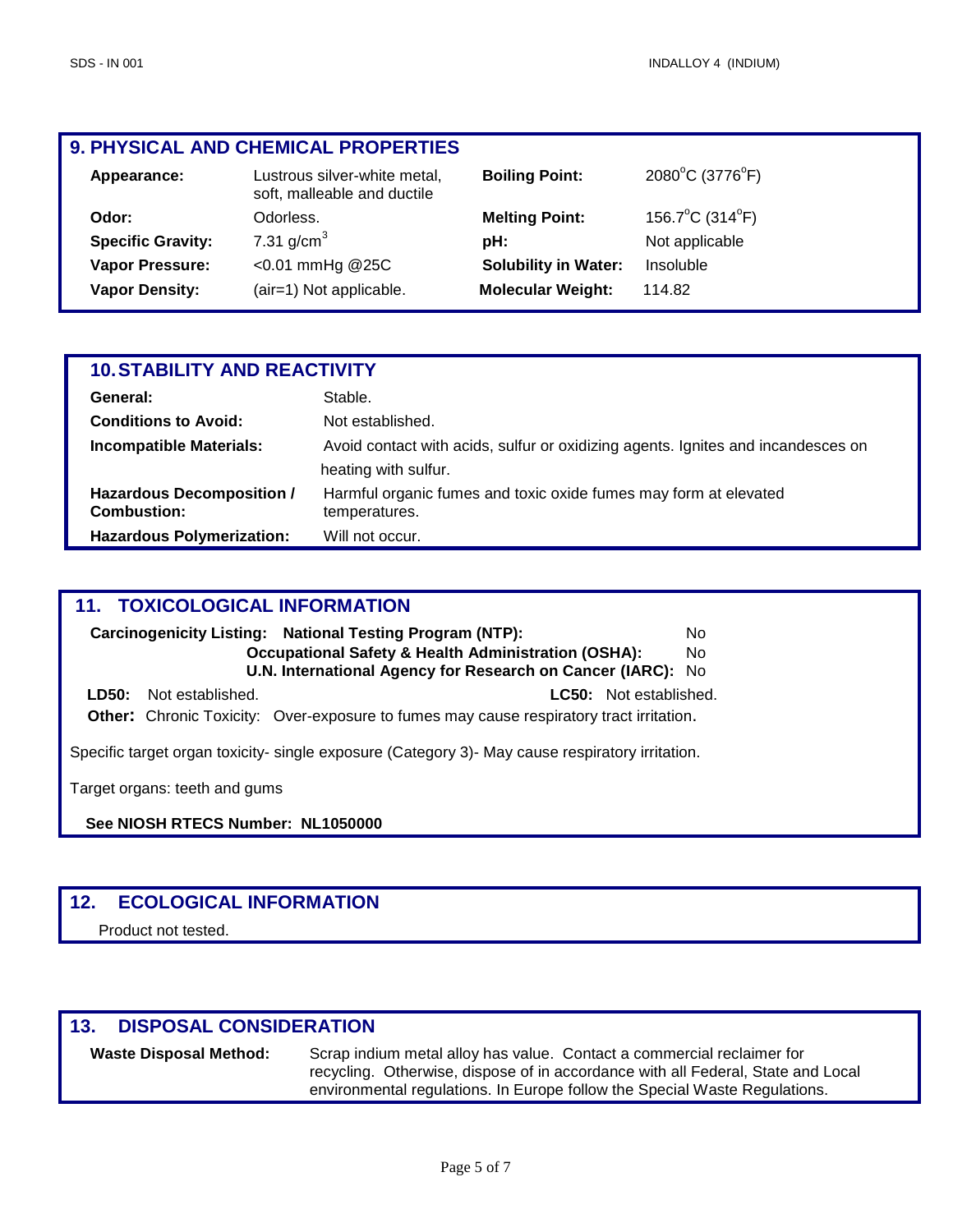# **9. PHYSICAL AND CHEMICAL PROPERTIES**

| Appearance:              | Lustrous silver-white metal,<br>soft, malleable and ductile | <b>Boiling Point:</b>       | 2080°C (3776°F) |
|--------------------------|-------------------------------------------------------------|-----------------------------|-----------------|
| Odor:                    | Odorless.                                                   | <b>Melting Point:</b>       | 156.7°C (314°F) |
| <b>Specific Gravity:</b> | 7.31 $q/cm3$                                                | pH:                         | Not applicable  |
| <b>Vapor Pressure:</b>   | $< 0.01$ mmHg @25C                                          | <b>Solubility in Water:</b> | Insoluble       |
| <b>Vapor Density:</b>    | (air=1) Not applicable.                                     | <b>Molecular Weight:</b>    | 114.82          |

| <b>10. STABILITY AND REACTIVITY</b>             |                                                                                   |  |  |
|-------------------------------------------------|-----------------------------------------------------------------------------------|--|--|
| General:                                        | Stable.                                                                           |  |  |
| <b>Conditions to Avoid:</b>                     | Not established.                                                                  |  |  |
| <b>Incompatible Materials:</b>                  | Avoid contact with acids, sulfur or oxidizing agents. Ignites and incandesces on  |  |  |
|                                                 | heating with sulfur.                                                              |  |  |
| Hazardous Decomposition /<br><b>Combustion:</b> | Harmful organic fumes and toxic oxide fumes may form at elevated<br>temperatures. |  |  |
| <b>Hazardous Polymerization:</b>                | Will not occur.                                                                   |  |  |

#### **11. TOXICOLOGICAL INFORMATION**

|                               | Carcinogenicity Listing: National Testing Program (NTP):                                       | No  |
|-------------------------------|------------------------------------------------------------------------------------------------|-----|
|                               | <b>Occupational Safety &amp; Health Administration (OSHA):</b>                                 | No. |
|                               | U.N. International Agency for Research on Cancer (IARC): No                                    |     |
| <b>LD50:</b> Not established. | <b>LC50:</b> Not established.                                                                  |     |
|                               | <b>Other:</b> Chronic Toxicity: Over-exposure to fumes may cause respiratory tract irritation. |     |

Specific target organ toxicity- single exposure (Category 3)- May cause respiratory irritation.

Target organs: teeth and gums

**See NIOSH RTECS Number: NL1050000** 

# **12. ECOLOGICAL INFORMATION**

Product not tested.

# **13. DISPOSAL CONSIDERATION**

**Waste Disposal Method:** Scrap indium metal alloy has value. Contact a commercial reclaimer for recycling. Otherwise, dispose of in accordance with all Federal, State and Local environmental regulations. In Europe follow the Special Waste Regulations.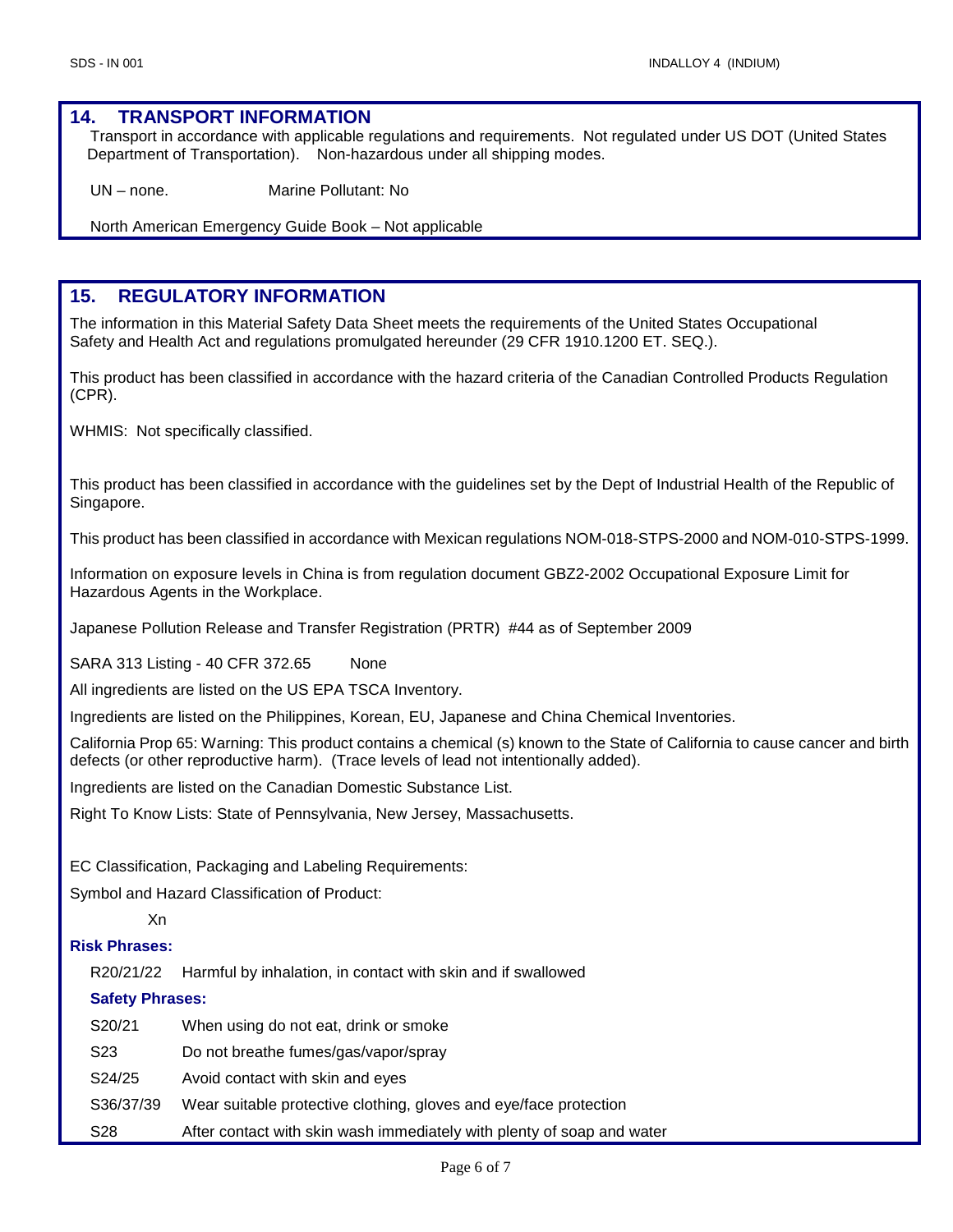#### **14. TRANSPORT INFORMATION**

Transport in accordance with applicable regulations and requirements. Not regulated under US DOT (United States Department of Transportation). Non-hazardous under all shipping modes.

UN – none. Marine Pollutant: No

North American Emergency Guide Book – Not applicable

## **15. REGULATORY INFORMATION**

The information in this Material Safety Data Sheet meets the requirements of the United States Occupational Safety and Health Act and regulations promulgated hereunder (29 CFR 1910.1200 ET. SEQ.).

This product has been classified in accordance with the hazard criteria of the Canadian Controlled Products Regulation (CPR).

WHMIS: Not specifically classified.

This product has been classified in accordance with the guidelines set by the Dept of Industrial Health of the Republic of Singapore.

This product has been classified in accordance with Mexican regulations NOM-018-STPS-2000 and NOM-010-STPS-1999.

Information on exposure levels in China is from regulation document GBZ2-2002 Occupational Exposure Limit for Hazardous Agents in the Workplace.

Japanese Pollution Release and Transfer Registration (PRTR) #44 as of September 2009

SARA 313 Listing - 40 CFR 372.65 None

All ingredients are listed on the US EPA TSCA Inventory.

Ingredients are listed on the Philippines, Korean, EU, Japanese and China Chemical Inventories.

California Prop 65: Warning: This product contains a chemical (s) known to the State of California to cause cancer and birth defects (or other reproductive harm). (Trace levels of lead not intentionally added).

Ingredients are listed on the Canadian Domestic Substance List.

Right To Know Lists: State of Pennsylvania, New Jersey, Massachusetts.

EC Classification, Packaging and Labeling Requirements:

Symbol and Hazard Classification of Product:

#### Xn

#### **Risk Phrases:**

R20/21/22 Harmful by inhalation, in contact with skin and if swallowed

#### **Safety Phrases:**

| S20/21              | When using do not eat, drink or smoke                                  |
|---------------------|------------------------------------------------------------------------|
| S23                 | Do not breathe fumes/gas/vapor/spray                                   |
| S <sub>24</sub> /25 | Avoid contact with skin and eyes                                       |
| S36/37/39           | Wear suitable protective clothing, gloves and eye/face protection      |
| S28                 | After contact with skin wash immediately with plenty of soap and water |